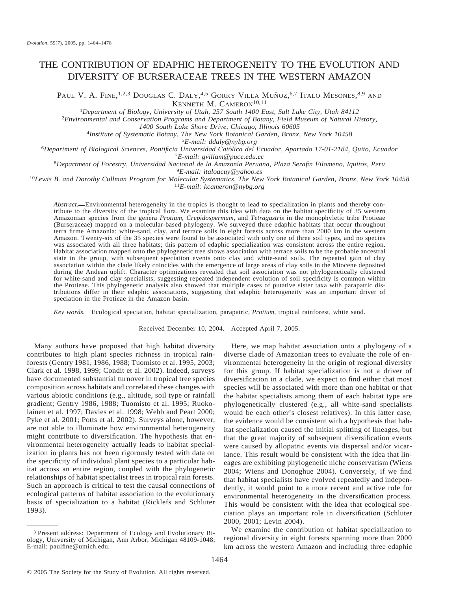# THE CONTRIBUTION OF EDAPHIC HETEROGENEITY TO THE EVOLUTION AND DIVERSITY OF BURSERACEAE TREES IN THE WESTERN AMAZON

PAUL V. A. FINE,<sup>1,2,3</sup> DOUGLAS C. DALY,<sup>4,5</sup> GORKY VILLA MUÑOZ,<sup>6,7</sup> ITALO MESONES,<sup>8,9</sup> AND **KENNETH M. CAMERON**<sup>10,11</sup><br><sup>1</sup>Department of Biology, University of Utah, 257 South 1400 East, Salt Lake City, Utah 84112

<sup>2</sup>Environmental and Conservation Programs and Department of Botany, Field Museum of Natural History,<br>1400 South Lake Shore Drive, Chicago, Illinois 60605

1400 South Lake Shore Drive, Chicago, Illinois 60605<br><sup>4</sup>Institute of Systematic Botany, The New York Botanical Garden, Bronx, New York 10458<br><sup>5</sup>E-mail: ddaly@nybg.org<br><sup>5</sup>E-mail: gvillam@puce.edu.ec<br><sup>8</sup>Department of Forest

*Abstract.* Environmental heterogeneity in the tropics is thought to lead to specialization in plants and thereby contribute to the diversity of the tropical flora. We examine this idea with data on the habitat specificity of 35 western Amazonian species from the genera *Protium*, *Crepidospermum*, and *Tetragastris* in the monophyletic tribe Protieae (Burseraceae) mapped on a molecular-based phylogeny. We surveyed three edaphic habitats that occur throughout terra firme Amazonia: white-sand, clay, and terrace soils in eight forests across more than 2000 km in the western Amazon. Twenty-six of the 35 species were found to be associated with only one of three soil types, and no species was associated with all three habitats; this pattern of edaphic specialization was consistent across the entire region. Habitat association mapped onto the phylogenetic tree shows association with terrace soils to be the probable ancestral state in the group, with subsequent speciation events onto clay and white-sand soils. The repeated gain of clay association within the clade likely coincides with the emergence of large areas of clay soils in the Miocene deposited during the Andean uplift. Character optimizations revealed that soil association was not phylogenetically clustered for white-sand and clay specialists, suggesting repeated independent evolution of soil specificity is common within the Protieae. This phylogenetic analysis also showed that multiple cases of putative sister taxa with parapatric distributions differ in their edaphic associations, suggesting that edaphic heterogeneity was an important driver of speciation in the Protieae in the Amazon basin.

*Key words.* Ecological speciation, habitat specialization, parapatric, *Protium*, tropical rainforest, white sand.

Received December 10, 2004. Accepted April 7, 2005.

Many authors have proposed that high habitat diversity contributes to high plant species richness in tropical rainforests (Gentry 1981, 1986, 1988; Tuomisto et al. 1995, 2003; Clark et al. 1998, 1999; Condit et al. 2002). Indeed, surveys have documented substantial turnover in tropical tree species composition across habitats and correlated these changes with various abiotic conditions (e.g., altitude, soil type or rainfall gradient; Gentry 1986, 1988; Tuomisto et al. 1995; Ruokolainen et al. 1997; Davies et al. 1998; Webb and Peart 2000; Pyke et al. 2001; Potts et al. 2002). Surveys alone, however, are not able to illuminate how environmental heterogeneity might contribute to diversification. The hypothesis that environmental heterogeneity actually leads to habitat specialization in plants has not been rigorously tested with data on the specificity of individual plant species to a particular habitat across an entire region, coupled with the phylogenetic relationships of habitat specialist trees in tropical rain forests. Such an approach is critical to test the causal connections of ecological patterns of habitat association to the evolutionary basis of specialization to a habitat (Ricklefs and Schluter 1993).

Here, we map habitat association onto a phylogeny of a diverse clade of Amazonian trees to evaluate the role of environmental heterogeneity in the origin of regional diversity for this group. If habitat specialization is not a driver of diversification in a clade, we expect to find either that most species will be associated with more than one habitat or that the habitat specialists among them of each habitat type are phylogenetically clustered (e.g., all white-sand specialists would be each other's closest relatives). In this latter case, the evidence would be consistent with a hypothesis that habitat specialization caused the initial splitting of lineages, but that the great majority of subsequent diversification events were caused by allopatric events via dispersal and/or vicariance. This result would be consistent with the idea that lineages are exhibiting phylogenetic niche conservatism (Wiens 2004; Wiens and Donoghue 2004). Conversely, if we find that habitat specialists have evolved repeatedly and independently, it would point to a more recent and active role for environmental heterogeneity in the diversification process. This would be consistent with the idea that ecological speciation plays an important role in diversification (Schluter 2000, 2001; Levin 2004).

We examine the contribution of habitat specialization to regional diversity in eight forests spanning more than 2000 km across the western Amazon and including three edaphic

<sup>3</sup> Present address: Department of Ecology and Evolutionary Biology, University of Michigan, Ann Arbor, Michigan 48109-1048; E-mail: paulfine@umich.edu.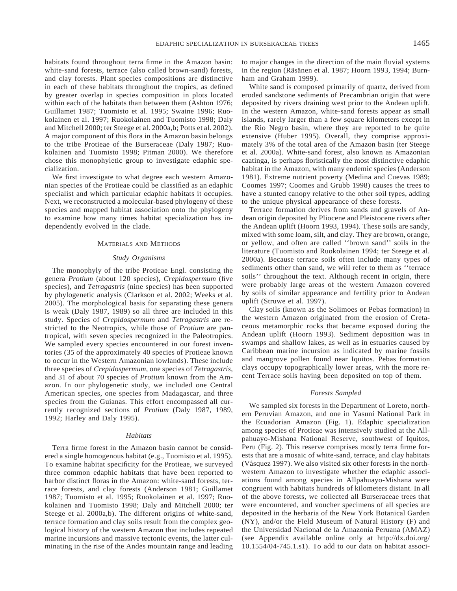habitats found throughout terra firme in the Amazon basin: white-sand forests, terrace (also called brown-sand) forests, and clay forests. Plant species compositions are distinctive in each of these habitats throughout the tropics, as defined by greater overlap in species composition in plots located within each of the habitats than between them (Ashton 1976; Guillamet 1987; Tuomisto et al. 1995; Swaine 1996; Ruokolainen et al. 1997; Ruokolainen and Tuomisto 1998; Daly and Mitchell 2000; ter Steege et al. 2000a,b; Potts et al. 2002). A major component of this flora in the Amazon basin belongs to the tribe Protieae of the Burseraceae (Daly 1987; Ruokolainen and Tuomisto 1998; Pitman 2000). We therefore chose this monophyletic group to investigate edaphic specialization.

We first investigate to what degree each western Amazonian species of the Protieae could be classified as an edaphic specialist and which particular edaphic habitats it occupies. Next, we reconstructed a molecular-based phylogeny of these species and mapped habitat association onto the phylogeny to examine how many times habitat specialization has independently evolved in the clade.

### MATERIALS AND METHODS

# *Study Organisms*

The monophyly of the tribe Protieae Engl. consisting the genera *Protium* (about 120 species), *Crepidospermum* (five species), and *Tetragastris* (nine species) has been supported by phylogenetic analysis (Clarkson et al. 2002; Weeks et al. 2005). The morphological basis for separating these genera is weak (Daly 1987, 1989) so all three are included in this study. Species of *Crepidospermum* and *Tetragastris* are restricted to the Neotropics, while those of *Protium* are pantropical, with seven species recognized in the Paleotropics. We sampled every species encountered in our forest inventories (35 of the approximately 40 species of Protieae known to occur in the Western Amazonian lowlands). These include three species of *Crepidospermum*, one species of *Tetragastris*, and 31 of about 70 species of *Protium* known from the Amazon. In our phylogenetic study, we included one Central American species, one species from Madagascar, and three species from the Guianas. This effort encompassed all currently recognized sections of *Protium* (Daly 1987, 1989, 1992; Harley and Daly 1995).

## *Habitats*

Terra firme forest in the Amazon basin cannot be considered a single homogenous habitat (e.g., Tuomisto et al. 1995). To examine habitat specificity for the Protieae, we surveyed three common edaphic habitats that have been reported to harbor distinct floras in the Amazon: white-sand forests, terrace forests, and clay forests (Anderson 1981; Guillamet 1987; Tuomisto et al. 1995; Ruokolainen et al. 1997; Ruokolainen and Tuomisto 1998; Daly and Mitchell 2000; ter Steege et al. 2000a,b). The different origins of white-sand, terrace formation and clay soils result from the complex geological history of the western Amazon that includes repeated marine incursions and massive tectonic events, the latter culminating in the rise of the Andes mountain range and leading

to major changes in the direction of the main fluvial systems in the region (Räsänen et al. 1987; Hoorn 1993, 1994; Burnham and Graham 1999).

White sand is composed primarily of quartz, derived from eroded sandstone sediments of Precambrian origin that were deposited by rivers draining west prior to the Andean uplift. In the western Amazon, white-sand forests appear as small islands, rarely larger than a few square kilometers except in the Rio Negro basin, where they are reported to be quite extensive (Huber 1995). Overall, they comprise approximately 3% of the total area of the Amazon basin (ter Steege et al. 2000a). White-sand forest, also known as Amazonian caatinga, is perhaps floristically the most distinctive edaphic habitat in the Amazon, with many endemic species (Anderson 1981). Extreme nutrient poverty (Medina and Cuevas 1989; Coomes 1997; Coomes and Grubb 1998) causes the trees to have a stunted canopy relative to the other soil types, adding to the unique physical appearance of these forests.

Terrace formation derives from sands and gravels of Andean origin deposited by Pliocene and Pleistocene rivers after the Andean uplift (Hoorn 1993, 1994). These soils are sandy, mixed with some loam, silt, and clay. They are brown, orange, or yellow, and often are called ''brown sand'' soils in the literature (Tuomisto and Ruokolainen 1994; ter Steege et al. 2000a). Because terrace soils often include many types of sediments other than sand, we will refer to them as ''terrace soils" throughout the text. Although recent in origin, there were probably large areas of the western Amazon covered by soils of similar appearance and fertility prior to Andean uplift (Struwe et al. 1997).

Clay soils (known as the Solimoes or Pebas formation) in the western Amazon originated from the erosion of Cretaceous metamorphic rocks that became exposed during the Andean uplift (Hoorn 1993). Sediment deposition was in swamps and shallow lakes, as well as in estuaries caused by Caribbean marine incursion as indicated by marine fossils and mangrove pollen found near Iquitos. Pebas formation clays occupy topographically lower areas, with the more recent Terrace soils having been deposited on top of them.

#### *Forests Sampled*

We sampled six forests in the Department of Loreto, northern Peruvian Amazon, and one in Yasuní National Park in the Ecuadorian Amazon (Fig. 1). Edaphic specialization among species of Protieae was intensively studied at the Allpahuayo-Mishana National Reserve, southwest of Iquitos, Peru (Fig. 2). This reserve comprises mostly terra firme forests that are a mosaic of white-sand, terrace, and clay habitats (Vásquez 1997). We also visited six other forests in the northwestern Amazon to investigate whether the edaphic associations found among species in Allpahuayo-Mishana were congruent with habitats hundreds of kilometers distant. In all of the above forests, we collected all Burseraceae trees that were encountered, and voucher specimens of all species are deposited in the herbaria of the New York Botanical Garden (NY), and/or the Field Museum of Natural History (F) and the Universidad Nacional de la Amazonía Peruana (AMAZ) (see Appendix available online only at http://dx.doi.org/ 10.1554/04-745.1.s1). To add to our data on habitat associ-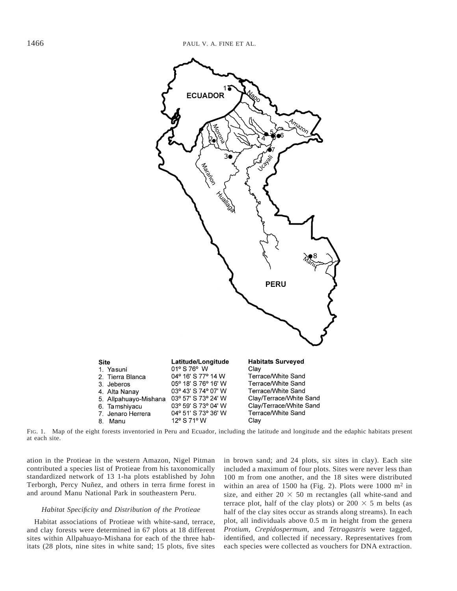

| <b>Site</b>           | Latitude/Longitude  | <b>Habitats Surveyed</b> |
|-----------------------|---------------------|--------------------------|
| 1. Yasuní             | 01º S 76° W         | Clav                     |
| 2. Tierra Blanca      | 04° 16' S 77° 14 W  | Terrace/White Sand       |
| 3. Jeberos            | 05° 18' S 76° 16' W | Terrace/White Sand       |
| 4. Alta Nanay         | 03° 43' S 74° 07' W | Terrace/White Sand       |
| 5. Allpahuayo-Mishana | 03° 57' S 73° 24' W | Clay/Terrace/White Sand  |
| 6. Tamshiyacu         | 03° 59' S 73° 04' W | Clay/Terrace/White Sand  |
| 7. Jenaro Herrera     | 04° 51' S 73° 36' W | Terrace/White Sand       |
| 8. Manu               | 12° S 71° W         | Clay                     |
|                       |                     |                          |

FIG. 1. Map of the eight forests inventoried in Peru and Ecuador, including the latitude and longitude and the edaphic habitats present at each site.

ation in the Protieae in the western Amazon, Nigel Pitman contributed a species list of Protieae from his taxonomically standardized network of 13 1-ha plots established by John Terborgh, Percy Nuñez, and others in terra firme forest in and around Manu National Park in southeastern Peru.

# *Habitat Specificity and Distribution of the Protieae*

Habitat associations of Protieae with white-sand, terrace, and clay forests were determined in 67 plots at 18 different sites within Allpahuayo-Mishana for each of the three habitats (28 plots, nine sites in white sand; 15 plots, five sites

in brown sand; and 24 plots, six sites in clay). Each site included a maximum of four plots. Sites were never less than 100 m from one another, and the 18 sites were distributed within an area of 1500 ha (Fig. 2). Plots were  $1000 \text{ m}^2$  in size, and either  $20 \times 50$  m rectangles (all white-sand and terrace plot, half of the clay plots) or  $200 \times 5$  m belts (as half of the clay sites occur as strands along streams). In each plot, all individuals above 0.5 m in height from the genera *Protium*, *Crepidospermum*, and *Tetragastris* were tagged, identified, and collected if necessary. Representatives from each species were collected as vouchers for DNA extraction.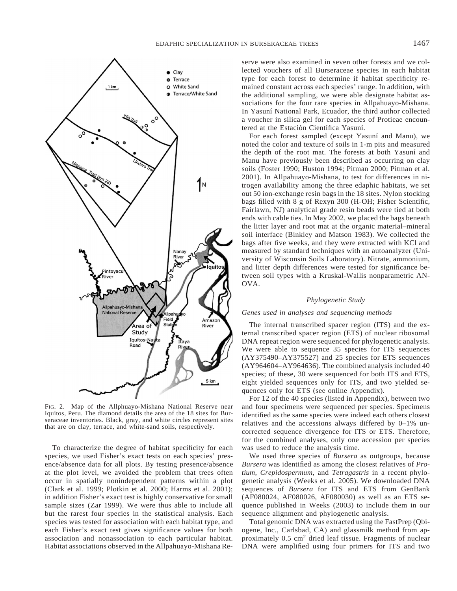

FIG. 2. Map of the Allphuayo-Mishana National Reserve near Iquitos, Peru. The diamond details the area of the 18 sites for Burseraceae inventories. Black, gray, and white circles represent sites that are on clay, terrace, and white-sand soils, respectively.

To characterize the degree of habitat specificity for each species, we used Fisher's exact tests on each species' presence/absence data for all plots. By testing presence/absence at the plot level, we avoided the problem that trees often occur in spatially nonindependent patterns within a plot (Clark et al. 1999; Plotkin et al. 2000; Harms et al. 2001); in addition Fisher's exact test is highly conservative for small sample sizes (Zar 1999). We were thus able to include all but the rarest four species in the statistical analysis. Each species was tested for association with each habitat type, and each Fisher's exact test gives significance values for both association and nonassociation to each particular habitat. Habitat associations observed in the Allpahuayo-Mishana Reserve were also examined in seven other forests and we collected vouchers of all Burseraceae species in each habitat type for each forest to determine if habitat specificity remained constant across each species' range. In addition, with the additional sampling, we were able designate habitat associations for the four rare species in Allpahuayo-Mishana. In Yasuní National Park, Ecuador, the third author collected a voucher in silica gel for each species of Protieae encountered at the Estación Científica Yasuní.

For each forest sampled (except Yasuní and Manu), we noted the color and texture of soils in 1-m pits and measured the depth of the root mat. The forests at both Yasuní and Manu have previously been described as occurring on clay soils (Foster 1990; Huston 1994; Pitman 2000; Pitman et al. 2001). In Allpahuayo-Mishana, to test for differences in nitrogen availability among the three edaphic habitats, we set out 50 ion-exchange resin bags in the 18 sites. Nylon stocking bags filled with 8 g of Rexyn 300 (H-OH; Fisher Scientific, Fairlawn, NJ) analytical grade resin beads were tied at both ends with cable ties. In May 2002, we placed the bags beneath the litter layer and root mat at the organic material–mineral soil interface (Binkley and Matson 1983). We collected the bags after five weeks, and they were extracted with KCl and measured by standard techniques with an autoanalyzer (University of Wisconsin Soils Laboratory). Nitrate, ammonium, and litter depth differences were tested for significance between soil types with a Kruskal-Wallis nonparametric AN-OVA.

#### *Phylogenetic Study*

## *Genes used in analyses and sequencing methods*

The internal transcribed spacer region (ITS) and the external transcribed spacer region (ETS) of nuclear ribosomal DNA repeat region were sequenced for phylogenetic analysis. We were able to sequence 35 species for ITS sequences (AY375490–AY375527) and 25 species for ETS sequences (AY964604–AY964636). The combined analysis included 40 species; of these, 30 were sequenced for both ITS and ETS, eight yielded sequences only for ITS, and two yielded sequences only for ETS (see online Appendix).

For 12 of the 40 species (listed in Appendix), between two and four specimens were sequenced per species. Specimens identified as the same species were indeed each others closest relatives and the accessions always differed by 0–1% uncorrected sequence divergence for ITS or ETS. Therefore, for the combined analyses, only one accession per species was used to reduce the analysis time.

We used three species of *Bursera* as outgroups, because *Bursera* was identified as among the closest relatives of *Protium*, *Crepidospermum*, and *Tetragastris* in a recent phylogenetic analysis (Weeks et al. 2005). We downloaded DNA sequences of *Bursera* for ITS and ETS from GenBank (AF080024, AF080026, AF080030) as well as an ETS sequence published in Weeks (2003) to include them in our sequence alignment and phylogenetic analysis.

Total genomic DNA was extracted using the FastPrep (Qbiogene, Inc., Carlsbad, CA) and glassmilk method from approximately 0.5 cm2 dried leaf tissue. Fragments of nuclear DNA were amplified using four primers for ITS and two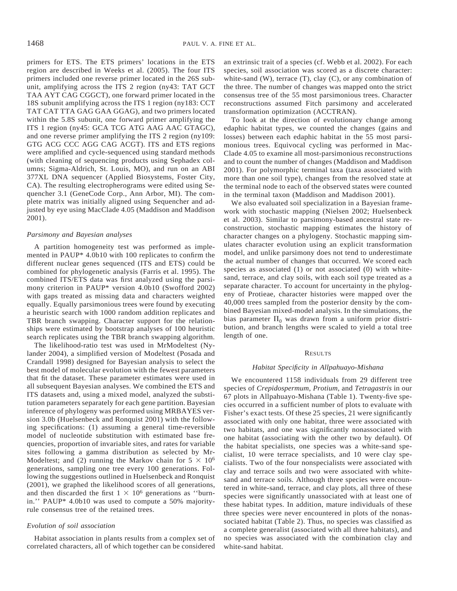primers for ETS. The ETS primers' locations in the ETS region are described in Weeks et al. (2005). The four ITS primers included one reverse primer located in the 26S subunit, amplifying across the ITS 2 region (ny43: TAT GCT TAA AYT CAG CGGCT), one forward primer located in the 18S subunit amplifying across the ITS 1 region (ny183: CCT TAT CAT TTA GAG GAA GGAG), and two primers located within the 5.8S subunit, one forward primer amplifying the ITS 1 region (ny45: GCA TCG ATG AAG AAC GTAGC), and one reverse primer amplifying the ITS 2 region (ny109: GTG ACG CCC AGG CAG ACGT). ITS and ETS regions were amplified and cycle-sequenced using standard methods (with cleaning of sequencing products using Sephadex columns; Sigma-Aldrich, St. Louis, MO), and run on an ABI 377XL DNA sequencer (Applied Biosystems, Foster City, CA). The resulting electropherograms were edited using Sequencher 3.1 (GeneCode Corp., Ann Arbor, MI). The complete matrix was initially aligned using Sequencher and adjusted by eye using MacClade 4.05 (Maddison and Maddison 2001).

# *Parsimony and Bayesian analyses*

A partition homogeneity test was performed as implemented in PAUP\* 4.0b10 with 100 replicates to confirm the different nuclear genes sequenced (ITS and ETS) could be combined for phylogenetic analysis (Farris et al. 1995). The combined ITS/ETS data was first analyzed using the parsimony criterion in PAUP\* version 4.0b10 (Swofford 2002) with gaps treated as missing data and characters weighted equally. Equally parsimonious trees were found by executing a heuristic search with 1000 random addition replicates and TBR branch swapping. Character support for the relationships were estimated by bootstrap analyses of 100 heuristic search replicates using the TBR branch swapping algorithm.

The likelihood-ratio test was used in MrModeltest (Nylander 2004), a simplified version of Modeltest (Posada and Crandall 1998) designed for Bayesian analysis to select the best model of molecular evolution with the fewest parameters that fit the dataset. These parameter estimates were used in all subsequent Bayesian analyses. We combined the ETS and ITS datasets and, using a mixed model, analyzed the substitution parameters separately for each gene partition. Bayesian inference of phylogeny was performed using MRBAYES version 3.0b (Huelsenbeck and Ronquist 2001) with the following specifications: (1) assuming a general time-reversible model of nucleotide substitution with estimated base frequencies, proportion of invariable sites, and rates for variable sites following a gamma distribution as selected by Mr-Modeltest; and (2) running the Markov chain for  $5 \times 10^6$ generations, sampling one tree every 100 generations. Following the suggestions outlined in Huelsenbeck and Ronquist (2001), we graphed the likelihood scores of all generations, and then discarded the first  $1 \times 10^6$  generations as "burnin.'' PAUP\* 4.0b10 was used to compute a 50% majorityrule consensus tree of the retained trees.

# *Evolution of soil association*

Habitat association in plants results from a complex set of correlated characters, all of which together can be considered

an extrinsic trait of a species (cf. Webb et al. 2002). For each species, soil association was scored as a discrete character: white-sand  $(W)$ , terrace  $(T)$ , clay  $(C)$ , or any combination of the three. The number of changes was mapped onto the strict consensus tree of the 55 most parsimonious trees. Character reconstructions assumed Fitch parsimony and accelerated transformation optimization (ACCTRAN).

To look at the direction of evolutionary change among edaphic habitat types, we counted the changes (gains and losses) between each edaphic habitat in the 55 most parsimonious trees. Equivocal cycling was performed in Mac-Clade 4.05 to examine all most-parsimonious reconstructions and to count the number of changes (Maddison and Maddison 2001). For polymorphic terminal taxa (taxa associated with more than one soil type), changes from the resolved state at the terminal node to each of the observed states were counted in the terminal taxon (Maddison and Maddison 2001).

We also evaluated soil specialization in a Bayesian framework with stochastic mapping (Nielsen 2002; Huelsenbeck et al. 2003). Similar to parsimony-based ancestral state reconstruction, stochastic mapping estimates the history of character changes on a phylogeny. Stochastic mapping simulates character evolution using an explicit transformation model, and unlike parsimony does not tend to underestimate the actual number of changes that occurred. We scored each species as associated (1) or not associated (0) with whitesand, terrace, and clay soils, with each soil type treated as a separate character. To account for uncertainty in the phylogeny of Protieae, character histories were mapped over the 40,000 trees sampled from the posterior density by the combined Bayesian mixed-model analysis. In the simulations, the bias parameter  $\Pi_0$  was drawn from a uniform prior distribution, and branch lengths were scaled to yield a total tree length of one.

# **RESULTS**

#### *Habitat Specificity in Allpahuayo-Mishana*

We encountered 1158 individuals from 29 different tree species of *Crepidospermum*, *Protium*, and *Tetragastris* in our 67 plots in Allpahuayo-Mishana (Table 1). Twenty-five species occurred in a sufficient number of plots to evaluate with Fisher's exact tests. Of these 25 species, 21 were significantly associated with only one habitat, three were associated with two habitats, and one was significantly nonassociated with one habitat (associating with the other two by default). Of the habitat specialists, one species was a white-sand specialist, 10 were terrace specialists, and 10 were clay specialists. Two of the four nonspecialists were associated with clay and terrace soils and two were associated with whitesand and terrace soils. Although three species were encountered in white-sand, terrace, and clay plots, all three of these species were significantly unassociated with at least one of these habitat types. In addition, mature individuals of these three species were never encountered in plots of the nonassociated habitat (Table 2). Thus, no species was classified as a complete generalist (associated with all three habitats), and no species was associated with the combination clay and white-sand habitat.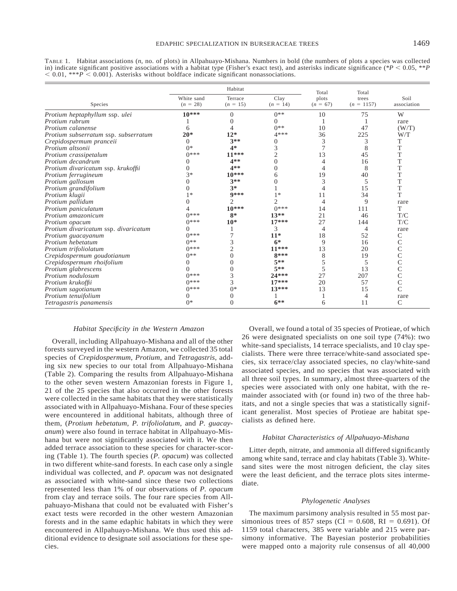| TABLE 1. Habitat associations (n, no. of plots) in Allpahuayo-Mishana. Numbers in bold (the numbers of plots a species was collected          |
|-----------------------------------------------------------------------------------------------------------------------------------------------|
| in) indicate significant positive associations with a habitat type (Fisher's exact test), and asterisks indicate significance (*P < 0.05, **P |
| $\leq 0.01$ , ***P $\leq 0.001$ ). Asterisks without boldface indicate significant nonassociations.                                           |

|                                      |            | Habitat    |                | Total      | Total        |                |
|--------------------------------------|------------|------------|----------------|------------|--------------|----------------|
|                                      | White sand | Terrace    | Clay           | plots      | trees        | Soil           |
| Species                              | $(n = 28)$ | $(n = 15)$ | $(n = 14)$     | $(n = 67)$ | $(n = 1157)$ | association    |
| Protium heptaphyllum ssp. ulei       | $10***$    | $\Omega$   | $0**$          | 10         | 75           | W              |
| Protium rubrum                       |            |            | 0              |            | $\mathbf{I}$ | rare           |
| Protium calanense                    | 6          |            | $0**$          | 10         | 47           | (W/T)          |
| Protium subserratum ssp. subserratum | $20*$      | $12*$      | 4 ***          | 36         | 225          | W/T            |
| Crepidospermum pranceii              | $\Omega$   | $3**$      | 0              | 3          | 3            | T              |
| Protium altsonii                     | $0*$       | $4*$       | 3              |            | 8            | T              |
| Protium crassipetalum                | $0***$     | $11***$    | $\overline{c}$ | 13         | 45           | T              |
| Protium decandrum                    |            | $4**$      | $\Omega$       | 4          | 16           | T              |
| Protium divaricatum ssp. krukoffii   |            | 4**        | 0              | 4          | 8            | T              |
| Protium ferrugineum                  | $3*$       | $10***$    | 6              | 19         | 40           | T              |
| Protium gallosum                     | 0          | $3**$      | 0              | 3          | 5            | T              |
| Protium grandifolium                 | 0          | $3*$       |                | 4          | 15           | T              |
| Protium klugii                       | $1*$       | $9***$     | $1*$           | 11         | 34           | T              |
| Protium pallidum                     |            | 2          | 2              | 4          | 9            | rare           |
| Protium paniculatum                  |            | $10***$    | $0***$         | 14         | 111          | T              |
| Protium amazonicum                   | $0***$     | $8*$       | $13**$         | 21         | 46           | T/C            |
| Protium opacum                       | $0***$     | $10*$      | $17***$        | 27         | 144          | T/C            |
| Protium divaricatum ssp. divaricatum | 0          |            | 3              | 4          | 4            | rare           |
| Protium guacayanum                   | $0***$     |            | $11*$          | 18         | 52           | $\mathsf{C}$   |
| Protium hebetatum                    | $0**$      | 3          | $6*$           | 9          | 16           | $\mathsf{C}$   |
| Protium trifoliolatum                | $0***$     | 2          | $11***$        | 13         | 20           | $\mathsf{C}$   |
| Crepidospermum goudotianum           | $0**$      | 0          | 8***           | 8          | 19           | $\mathbf C$    |
| Crepidospermum rhoifolium            | $\theta$   | $\Omega$   | $5**$          | 5          | 5            | $\mathsf{C}$   |
| Protium glabrescens                  |            | 0          | $5**$          | 5          | 13           | $\mathsf{C}$   |
| Protium nodulosum                    | $0***$     | 3          | $24***$        | 27         | 207          | $\overline{C}$ |
| Protium krukoffii                    | $0***$     | 3          | $17***$        | 20         | 57           | $\mathsf{C}$   |
| Protium sagotianum                   | $0***$     | $0*$       | $13***$        | 13         | 15           | C              |
| Protium tenuifolium                  | $^{()}$    | 0          |                |            | 4            | rare           |
| Tetragastris panamensis              | $0*$       | $\Omega$   | $6**$          | 6          | 11           | C              |

# *Habitat Specificity in the Western Amazon*

Overall, including Allpahuayo-Mishana and all of the other forests surveyed in the western Amazon, we collected 35 total species of *Crepidospermum*, *Protium*, and *Tetragastris*, adding six new species to our total from Allpahuayo-Mishana (Table 2). Comparing the results from Allpahuayo-Mishana to the other seven western Amazonian forests in Figure 1, 21 of the 25 species that also occurred in the other forests were collected in the same habitats that they were statistically associated with in Allpahuayo-Mishana. Four of these species were encountered in additional habitats, although three of them, (*Protium hebetatum*, *P. trifoliolatum*, and *P. guacayanum*) were also found in terrace habitat in Allpahuayo-Mishana but were not significantly associated with it. We then added terrace association to these species for character-scoring (Table 1). The fourth species (*P. opacum*) was collected in two different white-sand forests. In each case only a single individual was collected, and *P. opacum* was not designated as associated with white-sand since these two collections represented less than 1% of our observations of *P. opacum* from clay and terrace soils. The four rare species from Allpahuayo-Mishana that could not be evaluated with Fisher's exact tests were recorded in the other western Amazonian forests and in the same edaphic habitats in which they were encountered in Allpahuayo-Mishana. We thus used this additional evidence to designate soil associations for these species.

Overall, we found a total of 35 species of Protieae, of which 26 were designated specialists on one soil type (74%): two white-sand specialists, 14 terrace specialists, and 10 clay specialists. There were three terrace/white-sand associated species, six terrace/clay associated species, no clay/white-sand associated species, and no species that was associated with all three soil types. In summary, almost three-quarters of the species were associated with only one habitat, with the remainder associated with (or found in) two of the three habitats, and not a single species that was a statistically significant generalist. Most species of Protieae are habitat specialists as defined here.

# *Habitat Characteristics of Allpahuayo-Mishana*

Litter depth, nitrate, and ammonia all differed significantly among white sand, terrace and clay habitats (Table 3). Whitesand sites were the most nitrogen deficient, the clay sites were the least deficient, and the terrace plots sites intermediate.

# *Phylogenetic Analyses*

The maximum parsimony analysis resulted in 55 most parsimonious trees of 857 steps (CI =  $0.608$ , RI =  $0.691$ ). Of 1159 total characters, 385 were variable and 215 were parsimony informative. The Bayesian posterior probabilities were mapped onto a majority rule consensus of all 40,000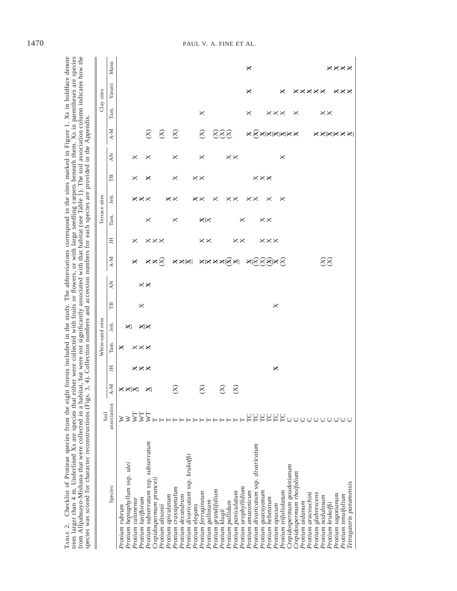| XXXXXX<br>শ⊠<br>$\overline{\mathcal{S}}$<br>$\boxtimes \boxtimes$<br>88<br>XXXI<br>$\mathbb{X}\mathbb{X}$<br><b>Z</b><br>$\times \times$<br>Ê<br>×<br>×<br>White-sand sites<br>Jeb.<br>XX<br>⊠<br>Tam.<br>×<br>$\times\times\times$<br>H<br>XXX<br>×<br>$A-M$<br>$\otimes$<br>$\otimes$<br>$\widehat{\infty}$<br>$\otimes$<br>XI<br>XXXI<br>association<br>Soil<br>$\triangledown$<br>VТ<br>$\overline{\mathsf{N}}$<br>FC<br>$\Gamma$<br>$\Gamma$<br>$\Gamma$ C<br>Ľ<br>P<br>$\geq$<br>≽<br>Protium subserratum ssp. subserratum<br>Protium divaricatum ssp. divaricatum<br>Protium divaricatum ssp. krukoffii<br>Protium heptaphyllum ssp. ulei<br>Crepidospermum goudotianum<br>Crepidospermum rhoifolium<br>Crepidospermum pranceii<br>Species<br>Protium crassipetalum<br>Protium urophyllidium<br>Protium grandifolium<br>Protium guacayanum<br>Protium trifoliolatum<br>Protium paniculatum<br>Protium amazonicum<br>Protium ferrugineum<br>Protium aracouchini<br>Protium glabrescens<br>Protium sagotianum<br>Protium decandrum<br>Protium apiculatum<br>Protium nodulosum<br>Protium hebetatum<br>Protium laxiflorum<br>Protium calanense<br>Protium gallosum<br>Protium pallidum<br>Protium aidanum<br>Protium krukoffii<br>Protium opacum<br>Protium elegans<br>Protium altsonii<br>Protium rubrum<br>Protium klugii |  |                           |                |                |                      |                |                 |                      |                      |      |
|---------------------------------------------------------------------------------------------------------------------------------------------------------------------------------------------------------------------------------------------------------------------------------------------------------------------------------------------------------------------------------------------------------------------------------------------------------------------------------------------------------------------------------------------------------------------------------------------------------------------------------------------------------------------------------------------------------------------------------------------------------------------------------------------------------------------------------------------------------------------------------------------------------------------------------------------------------------------------------------------------------------------------------------------------------------------------------------------------------------------------------------------------------------------------------------------------------------------------------------------------------------------------------------------------------------------------------|--|---------------------------|----------------|----------------|----------------------|----------------|-----------------|----------------------|----------------------|------|
|                                                                                                                                                                                                                                                                                                                                                                                                                                                                                                                                                                                                                                                                                                                                                                                                                                                                                                                                                                                                                                                                                                                                                                                                                                                                                                                                 |  |                           |                | Terrace sites  |                      |                |                 |                      | Clay sites           |      |
|                                                                                                                                                                                                                                                                                                                                                                                                                                                                                                                                                                                                                                                                                                                                                                                                                                                                                                                                                                                                                                                                                                                                                                                                                                                                                                                                 |  | H<br>$A-M$                | Tam.           | Jeb.           | Ê                    | <b>Z</b>       | $A-M$           | Tam.                 | Yasuní               | Manu |
|                                                                                                                                                                                                                                                                                                                                                                                                                                                                                                                                                                                                                                                                                                                                                                                                                                                                                                                                                                                                                                                                                                                                                                                                                                                                                                                                 |  |                           |                |                |                      |                |                 |                      |                      |      |
|                                                                                                                                                                                                                                                                                                                                                                                                                                                                                                                                                                                                                                                                                                                                                                                                                                                                                                                                                                                                                                                                                                                                                                                                                                                                                                                                 |  | ×<br>×                    |                |                | ×                    | ×              |                 |                      |                      |      |
|                                                                                                                                                                                                                                                                                                                                                                                                                                                                                                                                                                                                                                                                                                                                                                                                                                                                                                                                                                                                                                                                                                                                                                                                                                                                                                                                 |  |                           |                | XXX            |                      |                |                 |                      |                      |      |
|                                                                                                                                                                                                                                                                                                                                                                                                                                                                                                                                                                                                                                                                                                                                                                                                                                                                                                                                                                                                                                                                                                                                                                                                                                                                                                                                 |  |                           | ×              |                | ×                    | ×              | $\otimes$       |                      |                      |      |
|                                                                                                                                                                                                                                                                                                                                                                                                                                                                                                                                                                                                                                                                                                                                                                                                                                                                                                                                                                                                                                                                                                                                                                                                                                                                                                                                 |  | $\times\times\times$<br>8 |                |                |                      |                | $\otimes$       |                      |                      |      |
|                                                                                                                                                                                                                                                                                                                                                                                                                                                                                                                                                                                                                                                                                                                                                                                                                                                                                                                                                                                                                                                                                                                                                                                                                                                                                                                                 |  |                           |                | $\times\times$ |                      |                |                 |                      |                      |      |
|                                                                                                                                                                                                                                                                                                                                                                                                                                                                                                                                                                                                                                                                                                                                                                                                                                                                                                                                                                                                                                                                                                                                                                                                                                                                                                                                 |  |                           | ×              |                | ×                    | ×              | $\otimes$       |                      |                      |      |
|                                                                                                                                                                                                                                                                                                                                                                                                                                                                                                                                                                                                                                                                                                                                                                                                                                                                                                                                                                                                                                                                                                                                                                                                                                                                                                                                 |  |                           |                |                |                      |                |                 |                      |                      |      |
|                                                                                                                                                                                                                                                                                                                                                                                                                                                                                                                                                                                                                                                                                                                                                                                                                                                                                                                                                                                                                                                                                                                                                                                                                                                                                                                                 |  |                           |                | ×              |                      |                |                 |                      |                      |      |
|                                                                                                                                                                                                                                                                                                                                                                                                                                                                                                                                                                                                                                                                                                                                                                                                                                                                                                                                                                                                                                                                                                                                                                                                                                                                                                                                 |  | $\times\times$            | XX             | ×              | $\times\times$       | ×              | $\otimes$       | X                    |                      |      |
|                                                                                                                                                                                                                                                                                                                                                                                                                                                                                                                                                                                                                                                                                                                                                                                                                                                                                                                                                                                                                                                                                                                                                                                                                                                                                                                                 |  |                           |                |                |                      |                |                 |                      |                      |      |
|                                                                                                                                                                                                                                                                                                                                                                                                                                                                                                                                                                                                                                                                                                                                                                                                                                                                                                                                                                                                                                                                                                                                                                                                                                                                                                                                 |  |                           |                | ×              |                      |                |                 |                      |                      |      |
|                                                                                                                                                                                                                                                                                                                                                                                                                                                                                                                                                                                                                                                                                                                                                                                                                                                                                                                                                                                                                                                                                                                                                                                                                                                                                                                                 |  |                           |                |                |                      |                | 888             |                      |                      |      |
|                                                                                                                                                                                                                                                                                                                                                                                                                                                                                                                                                                                                                                                                                                                                                                                                                                                                                                                                                                                                                                                                                                                                                                                                                                                                                                                                 |  |                           |                | $\times\times$ |                      | $\times\times$ |                 |                      |                      |      |
|                                                                                                                                                                                                                                                                                                                                                                                                                                                                                                                                                                                                                                                                                                                                                                                                                                                                                                                                                                                                                                                                                                                                                                                                                                                                                                                                 |  | $\times\times$            | ×              |                |                      |                |                 |                      |                      |      |
|                                                                                                                                                                                                                                                                                                                                                                                                                                                                                                                                                                                                                                                                                                                                                                                                                                                                                                                                                                                                                                                                                                                                                                                                                                                                                                                                 |  |                           |                | $\times\times$ |                      |                |                 | ×                    | ×                    | ×    |
|                                                                                                                                                                                                                                                                                                                                                                                                                                                                                                                                                                                                                                                                                                                                                                                                                                                                                                                                                                                                                                                                                                                                                                                                                                                                                                                                 |  |                           |                |                | $\times\times\times$ |                | <b>XXXXXXXX</b> |                      |                      |      |
|                                                                                                                                                                                                                                                                                                                                                                                                                                                                                                                                                                                                                                                                                                                                                                                                                                                                                                                                                                                                                                                                                                                                                                                                                                                                                                                                 |  |                           | $\times\times$ |                |                      |                |                 |                      |                      |      |
|                                                                                                                                                                                                                                                                                                                                                                                                                                                                                                                                                                                                                                                                                                                                                                                                                                                                                                                                                                                                                                                                                                                                                                                                                                                                                                                                 |  | XXX                       |                | ×              |                      |                |                 | $\times\times\times$ |                      |      |
|                                                                                                                                                                                                                                                                                                                                                                                                                                                                                                                                                                                                                                                                                                                                                                                                                                                                                                                                                                                                                                                                                                                                                                                                                                                                                                                                 |  | $\boxtimes$               |                | ×              |                      | ×              |                 |                      | ×                    |      |
|                                                                                                                                                                                                                                                                                                                                                                                                                                                                                                                                                                                                                                                                                                                                                                                                                                                                                                                                                                                                                                                                                                                                                                                                                                                                                                                                 |  |                           |                |                |                      |                |                 |                      |                      |      |
|                                                                                                                                                                                                                                                                                                                                                                                                                                                                                                                                                                                                                                                                                                                                                                                                                                                                                                                                                                                                                                                                                                                                                                                                                                                                                                                                 |  |                           |                |                |                      |                |                 | ×                    |                      |      |
|                                                                                                                                                                                                                                                                                                                                                                                                                                                                                                                                                                                                                                                                                                                                                                                                                                                                                                                                                                                                                                                                                                                                                                                                                                                                                                                                 |  |                           |                |                |                      |                |                 |                      | ×                    |      |
|                                                                                                                                                                                                                                                                                                                                                                                                                                                                                                                                                                                                                                                                                                                                                                                                                                                                                                                                                                                                                                                                                                                                                                                                                                                                                                                                 |  |                           |                |                |                      |                |                 |                      |                      |      |
|                                                                                                                                                                                                                                                                                                                                                                                                                                                                                                                                                                                                                                                                                                                                                                                                                                                                                                                                                                                                                                                                                                                                                                                                                                                                                                                                 |  |                           |                |                |                      |                |                 |                      | <b>XXX</b>           |      |
|                                                                                                                                                                                                                                                                                                                                                                                                                                                                                                                                                                                                                                                                                                                                                                                                                                                                                                                                                                                                                                                                                                                                                                                                                                                                                                                                 |  |                           |                |                |                      |                |                 | $\times\times$       |                      |      |
| Protium tenuifolium                                                                                                                                                                                                                                                                                                                                                                                                                                                                                                                                                                                                                                                                                                                                                                                                                                                                                                                                                                                                                                                                                                                                                                                                                                                                                                             |  |                           |                |                |                      |                | XXXXXX          |                      | $\times\times\times$ | XXXX |
| Tetragastris panamensis                                                                                                                                                                                                                                                                                                                                                                                                                                                                                                                                                                                                                                                                                                                                                                                                                                                                                                                                                                                                                                                                                                                                                                                                                                                                                                         |  |                           |                |                |                      |                |                 |                      |                      |      |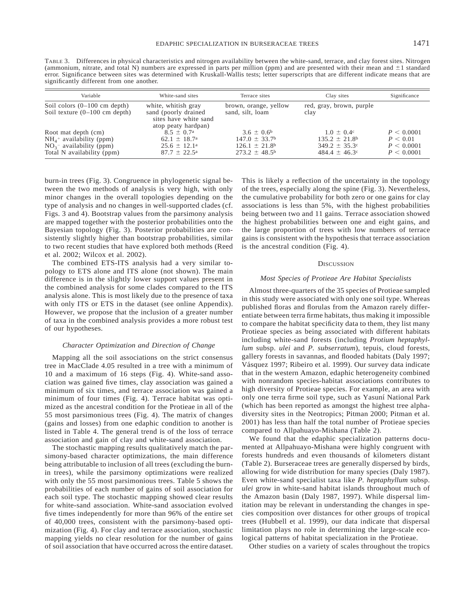TABLE 3. Differences in physical characteristics and nitrogen availability between the white-sand, terrace, and clay forest sites. Nitrogen (ammonium, nitrate, and total N) numbers are expressed in parts per million (ppm) and are presented with their mean and  $\pm 1$  standard error. Significance between sites was determined with Kruskall-Wallis tests; letter superscripts that are different indicate means that are significantly different from one another.

| Variable                                                                                                                  | White-sand sites                                                                                       | Terrace sites                                                                                                       | Clay sites                                                                                         | Significance                                       |
|---------------------------------------------------------------------------------------------------------------------------|--------------------------------------------------------------------------------------------------------|---------------------------------------------------------------------------------------------------------------------|----------------------------------------------------------------------------------------------------|----------------------------------------------------|
| Soil colors $(0-100 \text{ cm depth})$<br>Soil texture $(0-100 \text{ cm depth})$                                         | white, whitish gray<br>sand (poorly drained)<br>sites have white sand<br>atop peaty hardpan)           | brown, orange, yellow<br>sand, silt, loam                                                                           | red, gray, brown, purple<br>clay                                                                   |                                                    |
| Root mat depth (cm)<br>$NH4$ <sup>+</sup> availability (ppm)<br>$NO_3^-$ availability (ppm)<br>Total N availability (ppm) | $8.5 \pm 0.7^{\circ}$<br>$62.1 \pm 18.7^{\circ}$<br>$25.6 \pm 12.1^{\circ}$<br>$87.7 \pm 22.5^{\circ}$ | $3.6 \pm 0.6^{\circ}$<br>$147.0 \pm 33.7$ <sup>b</sup><br>$126.1 \pm 21.8$ <sup>b</sup><br>$273.2 \pm 48.5^{\circ}$ | $1.0 \pm 0.4^{\circ}$<br>$135.2 \pm 21.8$ <sup>b</sup><br>$349.2 \pm 35.3$ °<br>$484.4 \pm 46.3$ ° | P < 0.0001<br>P < 0.01<br>P < 0.0001<br>P < 0.0001 |

burn-in trees (Fig. 3). Congruence in phylogenetic signal between the two methods of analysis is very high, with only minor changes in the overall topologies depending on the type of analysis and no changes in well-supported clades (cf. Figs. 3 and 4). Bootstrap values from the parsimony analysis are mapped together with the posterior probabilities onto the Bayesian topology (Fig. 3). Posterior probabilities are consistently slightly higher than bootstrap probabilities, similar to two recent studies that have explored both methods (Reed et al. 2002; Wilcox et al. 2002).

The combined ETS-ITS analysis had a very similar topology to ETS alone and ITS alone (not shown). The main difference is in the slightly lower support values present in the combined analysis for some clades compared to the ITS analysis alone. This is most likely due to the presence of taxa with only ITS or ETS in the dataset (see online Appendix). However, we propose that the inclusion of a greater number of taxa in the combined analysis provides a more robust test of our hypotheses.

# *Character Optimization and Direction of Change*

Mapping all the soil associations on the strict consensus tree in MacClade 4.05 resulted in a tree with a minimum of 10 and a maximum of 16 steps (Fig. 4). White-sand association was gained five times, clay association was gained a minimum of six times, and terrace association was gained a minimum of four times (Fig. 4). Terrace habitat was optimized as the ancestral condition for the Protieae in all of the 55 most parsimonious trees (Fig. 4). The matrix of changes (gains and losses) from one edaphic condition to another is listed in Table 4. The general trend is of the loss of terrace association and gain of clay and white-sand association.

The stochastic mapping results qualitatively match the parsimony-based character optimizations, the main difference being attributable to inclusion of all trees (excluding the burnin trees), while the parsimony optimizations were realized with only the 55 most parsimonious trees. Table 5 shows the probabilities of each number of gains of soil association for each soil type. The stochastic mapping showed clear results for white-sand association. White-sand association evolved five times independently for more than 96% of the entire set of 40,000 trees, consistent with the parsimony-based optimization (Fig. 4). For clay and terrace association, stochastic mapping yields no clear resolution for the number of gains of soil association that have occurred across the entire dataset.

This is likely a reflection of the uncertainty in the topology of the trees, especially along the spine (Fig. 3). Nevertheless, the cumulative probability for both zero or one gains for clay associations is less than 5%, with the highest probabilities being between two and 11 gains. Terrace association showed the highest probabilities between one and eight gains, and the large proportion of trees with low numbers of terrace gains is consistent with the hypothesis that terrace association is the ancestral condition (Fig. 4).

#### **DISCUSSION**

# *Most Species of Protieae Are Habitat Specialists*

Almost three-quarters of the 35 species of Protieae sampled in this study were associated with only one soil type. Whereas published floras and florulas from the Amazon rarely differentiate between terra firme habitats, thus making it impossible to compare the habitat specificity data to them, they list many Protieae species as being associated with different habitats including white-sand forests (including *Protium heptaphyllum* subsp. *ulei* and *P. subserratum*), tepuis, cloud forests, gallery forests in savannas, and flooded habitats (Daly 1997; Vásquez 1997; Ribeiro et al. 1999). Our survey data indicate that in the western Amazon, edaphic heterogeneity combined with nonrandom species-habitat associations contributes to high diversity of Protieae species. For example, an area with only one terra firme soil type, such as Yasuní National Park (which has been reported as amongst the highest tree alphadiversity sites in the Neotropics; Pitman 2000; Pitman et al. 2001) has less than half the total number of Protieae species compared to Allpahuayo-Mishana (Table 2).

We found that the edaphic specialization patterns documented at Allpahuayo-Mishana were highly congruent with forests hundreds and even thousands of kilometers distant (Table 2). Burseraceae trees are generally dispersed by birds, allowing for wide distribution for many species (Daly 1987). Even white-sand specialist taxa like *P. heptaphyllum* subsp. *ulei* grow in white-sand habitat islands throughout much of the Amazon basin (Daly 1987, 1997). While dispersal limitation may be relevant in understanding the changes in species composition over distances for other groups of tropical trees (Hubbell et al. 1999), our data indicate that dispersal limitation plays no role in determining the large-scale ecological patterns of habitat specialization in the Protieae.

Other studies on a variety of scales throughout the tropics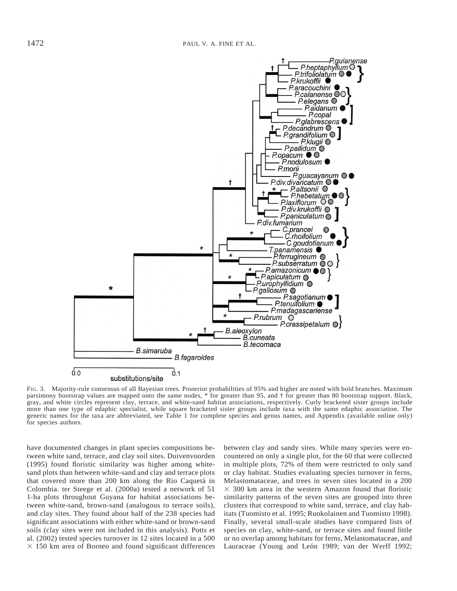

FIG. 3. Majority-rule consensus of all Bayesian trees. Posterior probabilities of 95% and higher are noted with bold branches. Maximum parsimony bootstrap values are mapped onto the same nodes, \* for greater than 95, and † for greater than 80 bootstrap support. Black, gray, and white circles represent clay, terrace, and white-sand habitat associations, respectively. Curly bracketed sister groups include more than one type of edaphic specialist, while square bracketed sister groups include taxa with the same edaphic association. The generic names for the taxa are abbreviated, see Table 1 for complete species and genus names, and Appendix (available online only) for species authors.

have documented changes in plant species compositions between white sand, terrace, and clay soil sites. Duivenvoorden (1995) found floristic similarity was higher among whitesand plots than between white-sand and clay and terrace plots that covered more than 200 km along the Rio Caquetá in Colombia. ter Steege et al. (2000a) tested a network of 51 1-ha plots throughout Guyana for habitat associations between white-sand, brown-sand (analogous to terrace soils), and clay sites. They found about half of the 238 species had significant associations with either white-sand or brown-sand soils (clay sites were not included in this analysis). Potts et al. (2002) tested species turnover in 12 sites located in a 500  $\times$  150 km area of Borneo and found significant differences

between clay and sandy sites. While many species were encountered on only a single plot, for the 60 that were collected in multiple plots, 72% of them were restricted to only sand or clay habitat. Studies evaluating species turnover in ferns, Melastomataceae, and trees in seven sites located in a 200  $\times$  300 km area in the western Amazon found that floristic similarity patterns of the seven sites are grouped into three clusters that correspond to white sand, terrace, and clay habitats (Tuomisto et al. 1995; Ruokolainen and Tuomisto 1998). Finally, several small-scale studies have compared lists of species on clay, white-sand, or terrace sites and found little or no overlap among habitats for ferns, Melastomataceae, and Lauraceae (Young and León 1989; van der Werff 1992;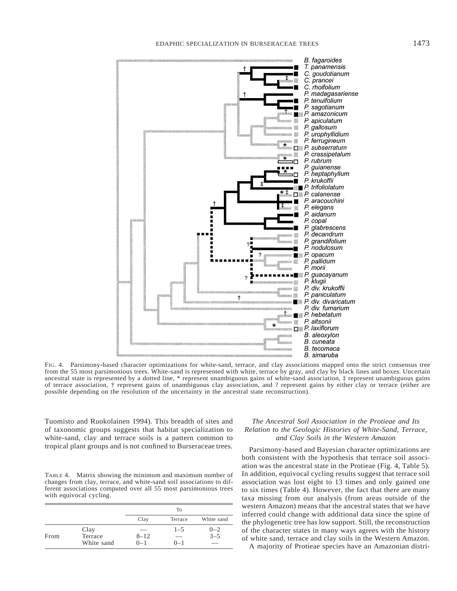

FIG. 4. Parsimony-based character optimizations for white-sand, terrace, and clay associations mapped onto the strict consensus tree from the 55 most parsimonious trees. White-sand is represented with white, terrace by gray, and clay by black lines and boxes. Uncertain ancestral state is represented by a dotted line, \* represent unambiguous gains of white-sand association, ‡ represent unambiguous gains of terrace association, † represent gains of unambiguous clay association, and ? represent gains by either clay or terrace (either are possible depending on the resolution of the uncertainty in the ancestral state reconstruction).

Tuomisto and Ruokolainen 1994). This breadth of sites and of taxonomic groups suggests that habitat specialization to white-sand, clay and terrace soils is a pattern common to tropical plant groups and is not confined to Burseraceae trees.

TABLE 4. Matrix showing the minimum and maximum number of changes from clay, terrace, and white-sand soil associations to different associations computed over all 55 most parsimonious trees with equivocal cycling.

|      |                 |                | To            |                          |
|------|-----------------|----------------|---------------|--------------------------|
|      |                 | Clay           | Terrace       | White sand               |
| From | Clay<br>Terrace | __<br>$8 - 12$ | $1 - 5$<br>__ | $0 - 2$<br>$3 - 5$       |
|      | White sand      | $0 - 1$        | $0 - 1$       | $\overline{\phantom{a}}$ |

# *The Ancestral Soil Association in the Protieae and Its Relation to the Geologic Histories of White-Sand, Terrace, and Clay Soils in the Western Amazon*

Parsimony-based and Bayesian character optimizations are both consistent with the hypothesis that terrace soil association was the ancestral state in the Protieae (Fig. 4, Table 5). In addition, equivocal cycling results suggest that terrace soil association was lost eight to 13 times and only gained one to six times (Table 4). However, the fact that there are many taxa missing from our analysis (from areas outside of the western Amazon) means that the ancestral states that we have inferred could change with additional data since the spine of the phylogenetic tree has low support. Still, the reconstruction of the character states in many ways agrees with the history of white sand, terrace and clay soils in the Western Amazon.

A majority of Protieae species have an Amazonian distri-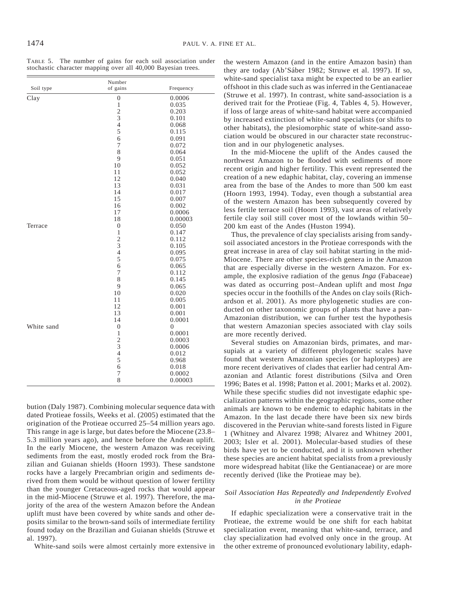TABLE 5. The number of gains for each soil association under stochastic character mapping over all 40,000 Bayesian trees.

|            | Number           |                |
|------------|------------------|----------------|
| Soil type  | of gains         | Frequency      |
| Clay       | $\boldsymbol{0}$ | 0.0006         |
|            | $\,1$            | 0.035          |
|            | $rac{2}{3}$      | 0.203          |
|            |                  | 0.101          |
|            | $\overline{4}$   | 0.068          |
|            | 5                | 0.115          |
|            | 6                | 0.091          |
|            | 7                | 0.072          |
|            | 8                | 0.064          |
|            | 9                | 0.051          |
|            | 10               | 0.052          |
|            | 11               | 0.052          |
|            | 12               | 0.040          |
|            | 13               | 0.031          |
|            | 14               | 0.017          |
|            | 15               | 0.007          |
|            | 16               | 0.002          |
|            | 17               | 0.0006         |
|            | 18               | 0.00003        |
| Terrace    | $\overline{0}$   | 0.050          |
|            | $\mathbf{1}$     | 0.147          |
|            | $\overline{c}$   | 0.112          |
|            | $\overline{3}$   | 0.105          |
|            | $\overline{4}$   | 0.095          |
|            | 5                | 0.075          |
|            | 6                | 0.065          |
|            | 7                | 0.112          |
|            | 8                | 0.145          |
|            | 9                | 0.065          |
|            | 10               | 0.020          |
|            | 11               | 0.005          |
|            | 12               | 0.001          |
|            | 13               | 0.001          |
|            | 14               | 0.0001         |
| White sand | $\mathbf{0}$     | $\overline{0}$ |
|            | $\mathbf{1}$     | 0.0001         |
|            | $\overline{c}$   | 0.0003         |
|            | 3                | 0.0006         |
|            | $\overline{4}$   | 0.012          |
|            | 5                | 0.968          |
|            | 6                | 0.018          |
|            | 7                | 0.0002         |
|            | 8                | 0.00003        |

bution (Daly 1987). Combining molecular sequence data with dated Protieae fossils, Weeks et al. (2005) estimated that the origination of the Protieae occurred 25–54 million years ago. This range in age is large, but dates before the Miocene (23.8– 5.3 million years ago), and hence before the Andean uplift. In the early Miocene, the western Amazon was receiving sediments from the east, mostly eroded rock from the Brazilian and Guianan shields (Hoorn 1993). These sandstone rocks have a largely Precambrian origin and sediments derived from them would be without question of lower fertility than the younger Cretaceous-aged rocks that would appear in the mid-Miocene (Struwe et al. 1997). Therefore, the majority of the area of the western Amazon before the Andean uplift must have been covered by white sands and other deposits similar to the brown-sand soils of intermediate fertility found today on the Brazilian and Guianan shields (Struwe et al. 1997).

White-sand soils were almost certainly more extensive in

the western Amazon (and in the entire Amazon basin) than they are today (Ab'Sáber 1982; Struwe et al. 1997). If so, white-sand specialist taxa might be expected to be an earlier offshoot in this clade such as was inferred in the Gentianaceae (Struwe et al. 1997). In contrast, white sand-association is a derived trait for the Protieae (Fig. 4, Tables 4, 5). However, if loss of large areas of white-sand habitat were accompanied by increased extinction of white-sand specialists (or shifts to other habitats), the plesiomorphic state of white-sand association would be obscured in our character state reconstruction and in our phylogenetic analyses.

In the mid-Miocene the uplift of the Andes caused the northwest Amazon to be flooded with sediments of more recent origin and higher fertility. This event represented the creation of a new edaphic habitat, clay, covering an immense area from the base of the Andes to more than 500 km east (Hoorn 1993, 1994). Today, even though a substantial area of the western Amazon has been subsequently covered by less fertile terrace soil (Hoorn 1993), vast areas of relatively fertile clay soil still cover most of the lowlands within 50– 200 km east of the Andes (Huston 1994).

Thus, the prevalence of clay specialists arising from sandysoil associated ancestors in the Protieae corresponds with the great increase in area of clay soil habitat starting in the mid-Miocene. There are other species-rich genera in the Amazon that are especially diverse in the western Amazon. For example, the explosive radiation of the genus *Inga* (Fabaceae) was dated as occurring post–Andean uplift and most *Inga* species occur in the foothills of the Andes on clay soils (Richardson et al. 2001). As more phylogenetic studies are conducted on other taxonomic groups of plants that have a pan-Amazonian distribution, we can further test the hypothesis that western Amazonian species associated with clay soils are more recently derived.

Several studies on Amazonian birds, primates, and marsupials at a variety of different phylogenetic scales have found that western Amazonian species (or haplotypes) are more recent derivatives of clades that earlier had central Amazonian and Atlantic forest distributions (Silva and Oren 1996; Bates et al. 1998; Patton et al. 2001; Marks et al. 2002). While these specific studies did not investigate edaphic specialization patterns within the geographic regions, some other animals are known to be endemic to edaphic habitats in the Amazon. In the last decade there have been six new birds discovered in the Peruvian white-sand forests listed in Figure 1 (Whitney and Alvarez 1998; Alvarez and Whitney 2001, 2003; Isler et al. 2001). Molecular-based studies of these birds have yet to be conducted, and it is unknown whether these species are ancient habitat specialists from a previously more widespread habitat (like the Gentianaceae) or are more recently derived (like the Protieae may be).

# *Soil Association Has Repeatedly and Independently Evolved in the Protieae*

If edaphic specialization were a conservative trait in the Protieae, the extreme would be one shift for each habitat specialization event, meaning that white-sand, terrace, and clay specialization had evolved only once in the group. At the other extreme of pronounced evolutionary lability, edaph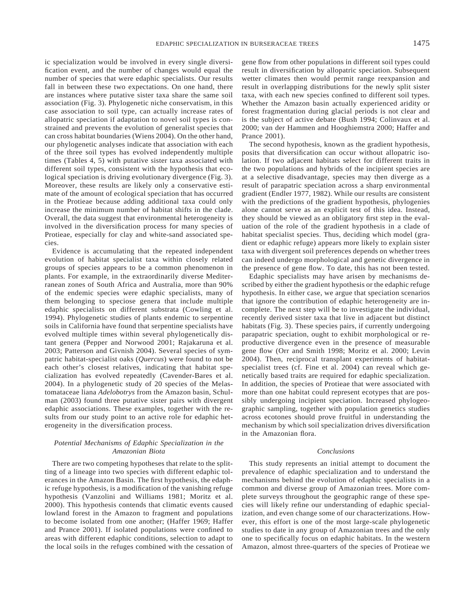ic specialization would be involved in every single diversification event, and the number of changes would equal the number of species that were edaphic specialists. Our results fall in between these two expectations. On one hand, there are instances where putative sister taxa share the same soil association (Fig. 3). Phylogenetic niche conservatism, in this case association to soil type, can actually increase rates of allopatric speciation if adaptation to novel soil types is constrained and prevents the evolution of generalist species that can cross habitat boundaries (Wiens 2004). On the other hand, our phylogenetic analyses indicate that association with each of the three soil types has evolved independently multiple times (Tables 4, 5) with putative sister taxa associated with different soil types, consistent with the hypothesis that ecological speciation is driving evolutionary divergence (Fig. 3). Moreover, these results are likely only a conservative estimate of the amount of ecological speciation that has occurred in the Protieae because adding additional taxa could only increase the minimum number of habitat shifts in the clade. Overall, the data suggest that environmental heterogeneity is involved in the diversification process for many species of Protieae, especially for clay and white-sand associated species.

Evidence is accumulating that the repeated independent evolution of habitat specialist taxa within closely related groups of species appears to be a common phenomenon in plants. For example, in the extraordinarily diverse Mediterranean zones of South Africa and Australia, more than 90% of the endemic species were edaphic specialists, many of them belonging to speciose genera that include multiple edaphic specialists on different substrata (Cowling et al. 1994). Phylogenetic studies of plants endemic to serpentine soils in California have found that serpentine specialists have evolved multiple times within several phylogenetically distant genera (Pepper and Norwood 2001; Rajakaruna et al. 2003; Patterson and Givnish 2004). Several species of sympatric habitat-specialist oaks (*Quercus*) were found to not be each other's closest relatives, indicating that habitat specialization has evolved repeatedly (Cavender-Bares et al. 2004). In a phylogenetic study of 20 species of the Melastomataceae liana *Adelobotrys* from the Amazon basin, Schulman (2003) found three putative sister pairs with divergent edaphic associations. These examples, together with the results from our study point to an active role for edaphic heterogeneity in the diversification process.

# *Potential Mechanisms of Edaphic Specialization in the Amazonian Biota*

There are two competing hypotheses that relate to the splitting of a lineage into two species with different edaphic tolerances in the Amazon Basin. The first hypothesis, the edaphic refuge hypothesis, is a modification of the vanishing refuge hypothesis (Vanzolini and Williams 1981; Moritz et al. 2000). This hypothesis contends that climatic events caused lowland forest in the Amazon to fragment and populations to become isolated from one another; (Haffer 1969; Haffer and Prance 2001). If isolated populations were confined to areas with different edaphic conditions, selection to adapt to the local soils in the refuges combined with the cessation of

gene flow from other populations in different soil types could result in diversification by allopatric speciation. Subsequent wetter climates then would permit range reexpansion and result in overlapping distributions for the newly split sister taxa, with each new species confined to different soil types. Whether the Amazon basin actually experienced aridity or forest fragmentation during glacial periods is not clear and is the subject of active debate (Bush 1994; Colinvaux et al. 2000; van der Hammen and Hooghiemstra 2000; Haffer and Prance 2001).

The second hypothesis, known as the gradient hypothesis, posits that diversification can occur without allopatric isolation. If two adjacent habitats select for different traits in the two populations and hybrids of the incipient species are at a selective disadvantage, species may then diverge as a result of parapatric speciation across a sharp environmental gradient (Endler 1977, 1982). While our results are consistent with the predictions of the gradient hypothesis, phylogenies alone cannot serve as an explicit test of this idea. Instead, they should be viewed as an obligatory first step in the evaluation of the role of the gradient hypothesis in a clade of habitat specialist species. Thus, deciding which model (gradient or edaphic refuge) appears more likely to explain sister taxa with divergent soil preferences depends on whether trees can indeed undergo morphological and genetic divergence in the presence of gene flow. To date, this has not been tested.

Edaphic specialists may have arisen by mechanisms described by either the gradient hypothesis or the edaphic refuge hypothesis. In either case, we argue that speciation scenarios that ignore the contribution of edaphic heterogeneity are incomplete. The next step will be to investigate the individual, recently derived sister taxa that live in adjacent but distinct habitats (Fig. 3). These species pairs, if currently undergoing parapatric speciation, ought to exhibit morphological or reproductive divergence even in the presence of measurable gene flow (Orr and Smith 1998; Moritz et al. 2000; Levin 2004). Then, reciprocal transplant experiments of habitatspecialist trees (cf. Fine et al. 2004) can reveal which genetically based traits are required for edaphic specialization. In addition, the species of Protieae that were associated with more than one habitat could represent ecotypes that are possibly undergoing incipient speciation. Increased phylogeographic sampling, together with population genetics studies across ecotones should prove fruitful in understanding the mechanism by which soil specialization drives diversification in the Amazonian flora.

# *Conclusions*

This study represents an initial attempt to document the prevalence of edaphic specialization and to understand the mechanisms behind the evolution of edaphic specialists in a common and diverse group of Amazonian trees. More complete surveys throughout the geographic range of these species will likely refine our understanding of edaphic specialization, and even change some of our characterizations. However, this effort is one of the most large-scale phylogenetic studies to date in any group of Amazonian trees and the only one to specifically focus on edaphic habitats. In the western Amazon, almost three-quarters of the species of Protieae we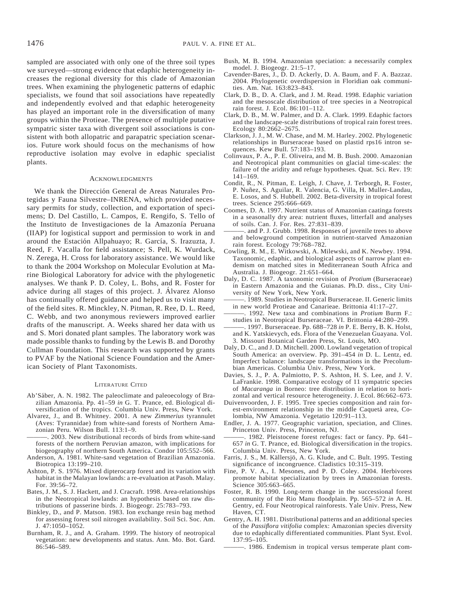sampled are associated with only one of the three soil types we surveyed—strong evidence that edaphic heterogeneity increases the regional diversity for this clade of Amazonian trees. When examining the phylogenetic patterns of edaphic specialists, we found that soil associations have repeatedly and independently evolved and that edaphic heterogeneity has played an important role in the diversification of many groups within the Protieae. The presence of multiple putative sympatric sister taxa with divergent soil associations is consistent with both allopatric and parapatric speciation scenarios. Future work should focus on the mechanisms of how reproductive isolation may evolve in edaphic specialist plants.

#### ACKNOWLEDGMENTS

We thank the Dirección General de Areas Naturales Protegidas y Fauna Silvestre–INRENA, which provided necessary permits for study, collection, and exportation of specimens; D. Del Castillo, L. Campos, E. Rengifo, S. Tello of the Instituto de Investigaciones de la Amazonía Peruana (IIAP) for logistical support and permission to work in and around the Estación Allpahuayo; R. García, S. Irazuzta, J. Reed, F. Vacalla for field assistance; S. Pell, K. Wurdack, N. Zerega, H. Cross for laboratory assistance. We would like to thank the 2004 Workshop on Molecular Evolution at Marine Biological Laboratory for advice with the phylogenetic analyses. We thank P. D. Coley, L. Bohs, and R. Foster for advice during all stages of this project. J. Álvarez Alonso has continually offered guidance and helped us to visit many of the field sites. R. Minckley, N. Pitman, R. Ree, D. L. Reed, C. Webb, and two anonymous reviewers improved earlier drafts of the manuscript. A. Weeks shared her data with us and S. Mori donated plant samples. The laboratory work was made possible thanks to funding by the Lewis B. and Dorothy Cullman Foundation. This research was supported by grants to PVAF by the National Science Foundation and the American Society of Plant Taxonomists.

# LITERATURE CITED

- Ab'Sáber, A. N. 1982. The paleoclimate and paleoecology of Brazilian Amazonia. Pp. 41–59 *in* G. T. Prance, ed. Biological diversification of the tropics. Columbia Univ. Press, New York.
- Alvarez, J., and B. Whitney. 2001. A new *Zimmerius* tyrannulet (Aves: Tyrannidae) from white-sand forests of Northern Amazonian Peru. Wilson Bull. 113:1–9.
- 2003. New distributional records of birds from white-sand forests of the northern Peruvian amazon, with implications for biogeography of northern South America. Condor 105:552–566.
- Anderson, A. 1981. White-sand vegetation of Brazilian Amazonia. Biotropica 13:199–210.
- Ashton, P. S. 1976. Mixed dipterocarp forest and its variation with habitat in the Malayan lowlands: a re-evaluation at Pasoh. Malay. For. 39:56–72.
- Bates, J. M., S. J. Hackett, and J. Cracraft. 1998. Area-relationships in the Neotropical lowlands: an hypothesis based on raw distributions of passerine birds. J. Biogeogr. 25:783–793.
- Binkley, D., and P. Matson. 1983. Ion exchange resin bag method for assessing forest soil nitrogen availability. Soil Sci. Soc. Am. J. 47:1050–1052.
- Burnham, R. J., and A. Graham. 1999. The history of neotropical vegetation: new developments and status. Ann. Mo. Bot. Gard. 86:546–589.
- Bush, M. B. 1994. Amazonian speciation: a necessarily complex model. J. Biogeogr. 21:5–17.
- Cavender-Bares, J., D. D. Ackerly, D. A. Baum, and F. A. Bazzaz. 2004. Phylogenetic overdispersion in Floridian oak communities. Am. Nat. 163:823–843.
- Clark, D. B., D. A. Clark, and J. M. Read. 1998. Edaphic variation and the mesoscale distribution of tree species in a Neotropical rain forest. J. Ecol. 86:101–112.
- Clark, D. B., M. W. Palmer, and D. A. Clark. 1999. Edaphic factors and the landscape-scale distributions of tropical rain forest trees. Ecology 80:2662–2675.
- Clarkson, J. J., M. W. Chase, and M. M. Harley. 2002. Phylogenetic relationships in Burseraceae based on plastid rps16 intron sequences. Kew Bull. 57:183–193.
- Colinvaux, P. A., P. E. Oliveira, and M. B. Bush. 2000. Amazonian and Neotropical plant communities on glacial time-scales: the failure of the aridity and refuge hypotheses. Quat. Sci. Rev. 19: 141–169.
- Condit, R., N. Pitman, E. Leigh, J. Chave, J. Terborgh, R. Foster, P. Nuñez, S. Aguilar, R. Valencia, G. Villa, H. Muller-Landau, E. Losos, and S. Hubbell. 2002. Beta-diversity in tropical forest trees. Science 295:666–669.
- Coomes, D. A. 1997. Nutrient status of Amazonian caatinga forests in a seasonally dry area: nutrient fluxes, litterfall and analyses of soils. Can. J. For. Res. 27:831–839.
- and P. J. Grubb. 1998. Responses of juvenile trees to above and belowground competition in nutrient-starved Amazonian rain forest. Ecology 79:768–782.
- Cowling, R. M., E. Witkowski, A. Milewski, and K. Newbey. 1994. Taxonomic, edaphic, and biological aspects of narrow plant endemism on matched sites in Mediterranean South Africa and Australia. J. Biogeogr. 21:651–664.
- Daly, D. C. 1987. A taxonomic revision of *Protium* (Burseraceae) in Eastern Amazonia and the Guianas. Ph.D. diss., City University of New York, New York.
- ———. 1989. Studies in Neotropical Burseraceae. II. Generic limits in new world Protieae and Canarieae. Brittonia 41:17–27.
- ———. 1992. New taxa and combinations in *Protium* Burm F.: studies in Neotropical Burseraceae. VI. Brittonia 44:280–299.
- ———. 1997. Burseraceae. Pp. 688–728 *in* P. E. Berry, B. K. Holst, and K. Yatskievych, eds. Flora of the Venezuelan Guayana. Vol. 3. Missouri Botanical Garden Press, St. Louis, MO.
- Daly, D. C., and J. D. Mitchell. 2000. Lowland vegetation of tropical South America: an overview. Pp. 391–454 *in* D. L. Lentz, ed. Imperfect balance: landscape transformations in the Precolumbian Americas. Columbia Univ. Press, New York.
- Davies, S. J., P. A. Palmiotto, P. S. Ashton, H. S. Lee, and J. V. LaFrankie. 1998. Comparative ecology of 11 sympatric species of *Macaranga* in Borneo: tree distribution in relation to horizontal and vertical resource heterogeneity. J. Ecol. 86:662–673.
- Duivenvoorden, J. F. 1995. Tree species composition and rain forest-environment relationship in the middle Caquetá area, Colombia, NW Amazonia. Vegetatio 120:91–113.
- Endler, J. A. 1977. Geographic variation, speciation, and Clines. Princeton Univ. Press, Princeton, NJ.
- 1982. Pleistocene forest refuges: fact or fancy. Pp. 641– 657 *in* G. T. Prance, ed. Biological diversification in the tropics. Columbia Univ. Press, New York.
- Farris, J. S., M. Källersjö, A. G. Klude, and C. Bult. 1995. Testing significance of incongruence. Cladistics 10:315–319.
- Fine, P. V. A., I. Mesones, and P. D. Coley. 2004. Herbivores promote habitat specialization by trees in Amazonian forests. Science 305:663–665.
- Foster, R. B. 1990. Long-term change in the successional forest community of the Rio Manu floodplain. Pp. 565–572 *in* A. H. Gentry, ed. Four Neotropical rainforests. Yale Univ. Press, New Haven, CT.
- Gentry, A. H. 1981. Distributional patterns and an additional species of the *Passiflora vitifolia* complex: Amazonian species diversity due to edaphically differentiated communities. Plant Syst. Evol. 137:95–105.
	- ———. 1986. Endemism in tropical versus temperate plant com-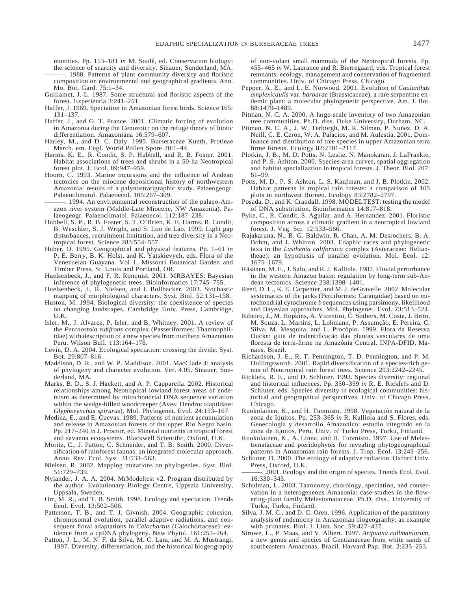munities. Pp. 153-181 *in* M. Soulé, ed. Conservation biology: the science of scarcity and diversity. Sinauer, Sunderland, MA.

- . 1988. Patterns of plant community diversity and floristic composition on environmental and geographical gradients. Ann. Mo. Bot. Gard. 75:1–34.
- Guillamet, J.-L. 1987. Some structural and floristic aspects of the forest. Experientia 3:241–251.
- Haffer, J. 1969. Speciation in Amazonian forest birds. Science 165: 131–137.
- Haffer, J., and G. T. Prance. 2001. Climatic forcing of evolution in Amazonia during the Cenozoic: on the refuge theory of biotic differentiation. Amazoniana 16:579–607.
- Harley, M., and D. C. Daly. 1995. Burseraceae Kunth, Protieae March. em. Engl. World Pollen Spore 20:1–44.
- Harms, K. E., R. Condit, S. P. Hubbell, and R. B. Foster. 2001. Habitat associations of trees and shrubs in a 50-ha Neotropical forest plot. J. Ecol. 89:947–959.
- Hoorn, C. 1993. Marine incursions and the influence of Andean tectonics on the miocene depositional history of northwestern Amazonia: results of a palynostratigraphic study. Palaeogeogr. Palaeoclimatol. Palaeoecol. 105:267–309.
- . 1994. An environmental reconstruction of the palaeo-Amazon river system (Middle-Late Miocene, NW Amazonia). Palaeogeogr. Palaeoclimatol. Palaeoecol. 112:187–238.
- Hubbell, S. P., R. B. Foster, S. T. O'Brien, K. E. Harms, R. Condit, B. Weschler, S. J. Wright, and S. Loo de Lao. 1999. Light gap disturbances, recruitment limitation, and tree diversity in a Neotropical forest. Science 283:554–557.
- Huber, O. 1995. Geographical and physical features. Pp. 1–61 *in* P. E. Berry, B. K. Holst, and K. Yatskievych, eds. Flora of the Venezuelan Guayana. Vol 1. Missouri Botanical Garden and Timber Press, St. Louis and Portland, OR.
- Huelsenbeck, J., and F. R. Ronquist. 2001. MRBAYES: Bayesian inference of phylogenetic trees. Bioinformatics 17:745–755.
- Huelsenbeck, J., R. Nielsen, and I. Bollbacker. 2003. Stochastic mapping of morphological characters. Syst. Biol. 52:131–158.
- Huston, M. 1994. Biological diversity: the coexistence of species on changing landscapes. Cambridge Univ. Press, Cambridge, U.K.
- Isler, M., J. Alvarez, P. Isler, and B. Whitney. 2001. A review of the *Percnostola rufifrons* complex (Passeriformes: Thamnophilidae) with description of a new species from northern Amazonian Peru. Wilson Bull. 113:164–176.
- Levin, D. A. 2004. Ecological speciation: crossing the divide. Syst. Bot. 29:807–816.
- Maddison, D. R., and W. P. Maddison. 2001. MacClade 4: analysis of phylogeny and character evolution. Ver. 4.05. Sinauer, Sunderland, MA.
- Marks, B. D., S. J. Hackett, and A. P. Capparella. 2002. Historical relationships among Neotropical lowland forest areas of endemism as determined by mitochondrial DNA sequence variation within the wedge-billed woodcreeper (Aves: Dendrocolaptidate: *Glyphorynchus spirurus*). Mol. Phylogenet. Evol. 24:153–167.
- Medina, E., and E. Cuevas. 1989. Patterns of nutrient accumulation and release in Amazonian forests of the upper Rio Negro basin. Pp. 217–240 *in* J. Proctor, ed. Mineral nutrients in tropical forest and savanna ecosystem*s.* Blackwell Scientific, Oxford, U.K.
- Moritz, C., J. Patton, C. Schneider, and T. B. Smith. 2000. Diversification of rainforest faunas: an integrated molecular approach. Annu. Rev. Ecol. Syst. 31:533–563.
- Nielsen, R. 2002. Mapping mutations on phylogenies. Syst. Biol. 51:729–739.
- Nylander, J. A. A. 2004. MrModeltest v2. Program distributed by the author. Evolutionary Biology Centre, Uppsala University, Uppsala, Sweden.
- Orr, M. R., and T. B. Smith. 1998. Ecology and speciation. Trends Ecol. Evol. 13:502–506.
- Patterson, T. B., and T. J. Givnish. 2004. Geographic cohesion, chromosomal evolution, parallel adaptive radiations, and consequent floral adaptations in *Calochortus* (Calochortaceae): evidence from a cpDNA phylogeny. New Phytol. 161:253–264.
- Patton, J. L., M. N. F. da Silva, M. C. Lara, and M. A. Mustrangi. 1997. Diversity, differentiation, and the historical biogeography

of non-volant small mammals of the Neotropical forests. Pp. 455–465 *in* W. Laurance and R. Bierregaard, eds. Tropical forest remnants: ecology, management and conservation of fragmented communities. Univ. of Chicago Press, Chicago.

- Pepper, A. E., and L. E. Norwood. 2001. Evolution of *Caulanthus amplexicaulis* var. *barbarae* (Brassicaceae), a rare serpentine endemic plant: a molecular phylogenetic perspective. Am. J. Bot. 88:1479–1489.
- Pitman, N. C. A. 2000. A large-scale inventory of two Amazonian tree communities. Ph.D. diss. Duke University, Durham, NC.
- Pitman, N. C. A., J. W. Terborgh, M. R. Silman, P. Nuñez, D. A. Neill, C. E. Ceron, W. A. Palacios, and M. Aulestia. 2001. Dominance and distribution of tree species in upper Amazonian terra firme forests. Ecology 82:2101–2117.
- Plotkin, J. B., M. D. Potts, N. Leslie, N. Manokaran, J. LaFrankie, and P. S. Ashton. 2000. Species-area curves, spatial aggregation and habitat specialization in tropical forests. J. Theor. Biol. 207: 81–99.
- Potts, M. D., P. S. Ashton, L. S. Kaufman, and J. B. Plotkin. 2002. Habitat patterns in tropical rain forests: a comparison of 105 plots in northwest Borneo. Ecology 83:2782–2797.
- Posada, D., and K. Crandall. 1998. MODELTEST: testing the model of DNA substitution. Bioinformatics 14:817–818.
- Pyke, C., R. Condit, S. Aguilar, and A. Hernandez. 2001. Floristic composition across a climatic gradient in a neotropical lowland forest. J. Veg. Sci. 12:533–566.
- Rajakaruna, N., B. G. Baldwin, R. Chan, A. M. Desrochers, B. A. Bohm, and J. Whitton. 2003. Edaphic races and phylogenetic taxa in the *Lasthenia californica* complex (Asteraceae: Heliantheae): an hypothesis of parallel evolution. Mol. Ecol. 12: 1675–1679.
- Räsänen, M. E., J. Salo, and R. J. Kalliola. 1987. Fluvial perturbance in the western Amazon basin: regulation by long-term sub-Andean tectonics. Science 238:1398–1401.
- Reed, D. L., K. E. Carpenter, and M. J. deGravelle. 2002. Molecular systematics of the jacks (Perciformes: Carangidae) based on mitochondrial cytochrome *b* sequences using parsimony, likelihood and Bayesian approaches. Mol. Phylogenet. Evol. 23:513–524.
- Ribeiro, J., M. Hopkins, A. Vicentini, C. Sothers, M. Costa, J. Brito, M. Souza, L. Martins, L. Lohmann, P. Assumção, E. Pereira, C. Silva, M. Mesquita, and L. Procópio. 1999. Flora da Reserva Ducke: guia de indentificação das plantas vasculares de uma floresta de terra-firme na Amazônia Central. INPA-DFID, Manaus, Brazil.
- Richardson, J. E., R. T. Pennington, T. D. Pennington, and P. M. Hollingsworth. 2001. Rapid diversification of a species-rich genus of Neotropical rain forest trees. Science 293:2242–2245.
- Ricklefs, R. E., and D. Schluter. 1993. Species diversity: regional and historical influences. Pp. 350–359 *in* R. E. Ricklefs and D. Schluter, eds. Species diversity in ecological communities: historical and geographical perspectives. Univ. of Chicago Press, Chicago.
- Ruokolainen, K., and H. Tuomisto. 1998. Vegetación natural de la zona de Iquitos. Pp. 253–365 *in* R. Kalliola and S. Flores, eds. Geoecologia y desarrollo Amazonico: estudio integrado en la zona de Iquitos, Peru. Univ. of Turku Press, Turku, Finland.
- Ruokolainen, K., A. Linna, and H. Tuomisto. 1997. Use of Melastomataceae and pteridophytes for revealing phytogeographical patterns in Amazonian rain forests. J. Trop. Ecol. 13:243–256.
- Schluter, D. 2000. The ecology of adaptive radiation. Oxford Univ. Press, Oxford, U.K.
- 2001. Ecology and the origin of species. Trends Ecol. Evol. 16:330–343.
- Schulman, L. 2003. Taxonomy, chorology, speciation, and conservation in a heterogeneous Amazonia: case-studies in the flowering-plant family Melastomataceae. Ph.D. diss., University of Turku, Turku, Finland.
- Silva, J. M. C., and D. C. Oren. 1996. Application of the parsimony analysis of endemicity in Amazonian biogeography: an example with primates. Biol. J. Linn. Soc. 59:427–437.
- Struwe, L., P. Maas, and V. Albert. 1997. *Aripuana cullmaniorum*, a new genus and species of Gentianaceae from white sands of southeastern Amazonas, Brazil. Harvard Pap. Bot. 2:235–253.